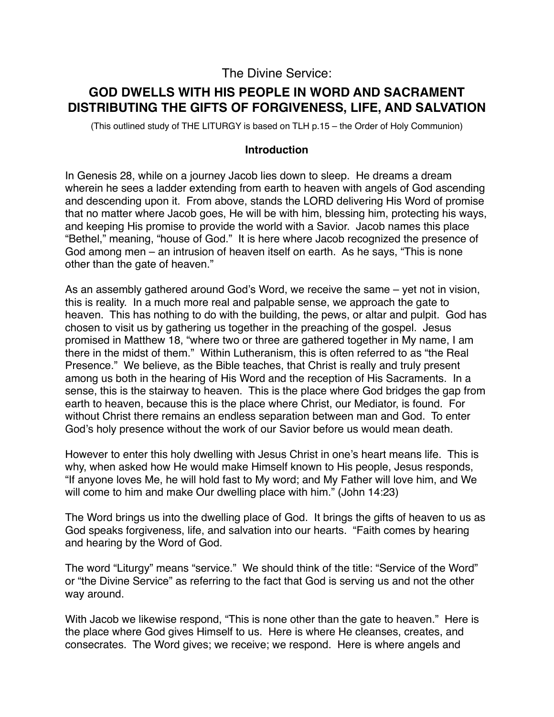## The Divine Service:

# **GOD DWELLS WITH HIS PEOPLE IN WORD AND SACRAMENT DISTRIBUTING THE GIFTS OF FORGIVENESS, LIFE, AND SALVATION**

(This outlined study of THE LITURGY is based on TLH p.15 – the Order of Holy Communion)

#### **Introduction**

In Genesis 28, while on a journey Jacob lies down to sleep. He dreams a dream wherein he sees a ladder extending from earth to heaven with angels of God ascending and descending upon it. From above, stands the LORD delivering His Word of promise that no matter where Jacob goes, He will be with him, blessing him, protecting his ways, and keeping His promise to provide the world with a Savior. Jacob names this place "Bethel," meaning, "house of God." It is here where Jacob recognized the presence of God among men – an intrusion of heaven itself on earth. As he says, "This is none other than the gate of heaven."

As an assembly gathered around God's Word, we receive the same – yet not in vision, this is reality. In a much more real and palpable sense, we approach the gate to heaven. This has nothing to do with the building, the pews, or altar and pulpit. God has chosen to visit us by gathering us together in the preaching of the gospel. Jesus promised in Matthew 18, "where two or three are gathered together in My name, I am there in the midst of them." Within Lutheranism, this is often referred to as "the Real Presence." We believe, as the Bible teaches, that Christ is really and truly present among us both in the hearing of His Word and the reception of His Sacraments. In a sense, this is the stairway to heaven. This is the place where God bridges the gap from earth to heaven, because this is the place where Christ, our Mediator, is found. For without Christ there remains an endless separation between man and God. To enter God's holy presence without the work of our Savior before us would mean death.

However to enter this holy dwelling with Jesus Christ in one's heart means life. This is why, when asked how He would make Himself known to His people, Jesus responds, "If anyone loves Me, he will hold fast to My word; and My Father will love him, and We will come to him and make Our dwelling place with him." (John 14:23)

The Word brings us into the dwelling place of God. It brings the gifts of heaven to us as God speaks forgiveness, life, and salvation into our hearts. "Faith comes by hearing and hearing by the Word of God.

The word "Liturgy" means "service." We should think of the title: "Service of the Word" or "the Divine Service" as referring to the fact that God is serving us and not the other way around.

With Jacob we likewise respond, "This is none other than the gate to heaven." Here is the place where God gives Himself to us. Here is where He cleanses, creates, and consecrates. The Word gives; we receive; we respond. Here is where angels and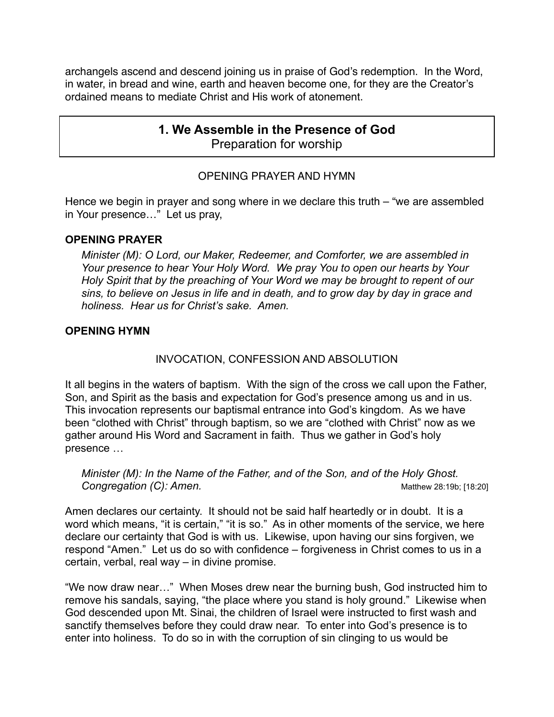archangels ascend and descend joining us in praise of God's redemption. In the Word, in water, in bread and wine, earth and heaven become one, for they are the Creator's ordained means to mediate Christ and His work of atonement.

## **1. We Assemble in the Presence of God** Preparation for worship

## OPENING PRAYER AND HYMN

Hence we begin in prayer and song where in we declare this truth – "we are assembled in Your presence…" Let us pray,

#### **OPENING PRAYER**

*Minister (M): O Lord, our Maker, Redeemer, and Comforter, we are assembled in Your presence to hear Your Holy Word. We pray You to open our hearts by Your Holy Spirit that by the preaching of Your Word we may be brought to repent of our sins, to believe on Jesus in life and in death, and to grow day by day in grace and holiness. Hear us for Christ's sake. Amen.*

### **OPENING HYMN**

## INVOCATION, CONFESSION AND ABSOLUTION

It all begins in the waters of baptism. With the sign of the cross we call upon the Father, Son, and Spirit as the basis and expectation for God's presence among us and in us. This invocation represents our baptismal entrance into God's kingdom. As we have been "clothed with Christ" through baptism, so we are "clothed with Christ" now as we gather around His Word and Sacrament in faith. Thus we gather in God's holy presence …

*Minister (M): In the Name of the Father, and of the Son, and of the Holy Ghost.* **Congregation (C): Amen. CONSERVING CONGREGATION** Matthew 28:19b; [18:20]

Amen declares our certainty. It should not be said half heartedly or in doubt. It is a word which means, "it is certain," "it is so." As in other moments of the service, we here declare our certainty that God is with us. Likewise, upon having our sins forgiven, we respond "Amen." Let us do so with confidence – forgiveness in Christ comes to us in a certain, verbal, real way – in divine promise.

"We now draw near…" When Moses drew near the burning bush, God instructed him to remove his sandals, saying, "the place where you stand is holy ground." Likewise when God descended upon Mt. Sinai, the children of Israel were instructed to first wash and sanctify themselves before they could draw near. To enter into God's presence is to enter into holiness. To do so in with the corruption of sin clinging to us would be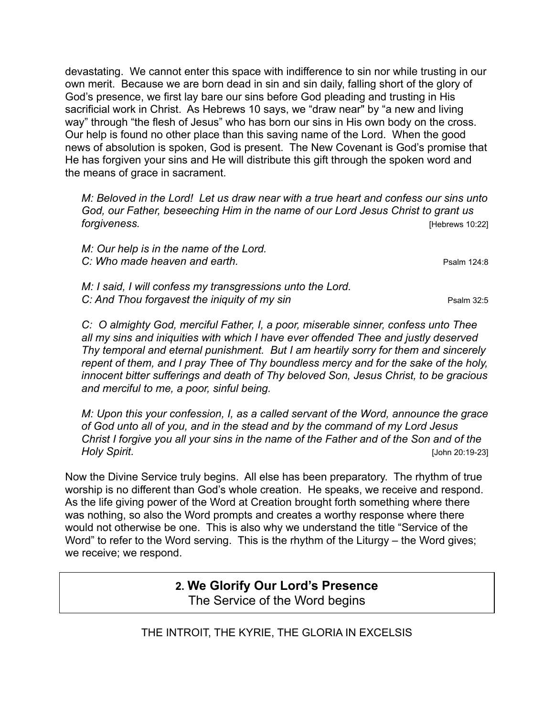devastating. We cannot enter this space with indifference to sin nor while trusting in our own merit. Because we are born dead in sin and sin daily, falling short of the glory of God's presence, we first lay bare our sins before God pleading and trusting in His sacrificial work in Christ. As Hebrews 10 says, we "draw near" by "a new and living way" through "the flesh of Jesus" who has born our sins in His own body on the cross. Our help is found no other place than this saving name of the Lord. When the good news of absolution is spoken, God is present. The New Covenant is God's promise that He has forgiven your sins and He will distribute this gift through the spoken word and the means of grace in sacrament.

*M: Beloved in the Lord! Let us draw near with a true heart and confess our sins unto God, our Father, beseeching Him in the name of our Lord Jesus Christ to grant us forgiveness.* [Hebrews 10:22]

*M: Our help is in the name of the Lord.*  **C: Who made heaven and earth. Psalm 124:8 Psalm 124:8** 

*M: I said, I will confess my transgressions unto the Lord. C: And Thou forgavest the iniquity of my sin* Psalm 32:5

*C: O almighty God, merciful Father, I, a poor, miserable sinner, confess unto Thee all my sins and iniquities with which I have ever offended Thee and justly deserved Thy temporal and eternal punishment. But I am heartily sorry for them and sincerely repent of them, and I pray Thee of Thy boundless mercy and for the sake of the holy, innocent bitter sufferings and death of Thy beloved Son, Jesus Christ, to be gracious and merciful to me, a poor, sinful being.*

*M: Upon this your confession, I, as a called servant of the Word, announce the grace of God unto all of you, and in the stead and by the command of my Lord Jesus Christ I forgive you all your sins in the name of the Father and of the Son and of the Holy Spirit.* [John 20:19-23]

Now the Divine Service truly begins. All else has been preparatory. The rhythm of true worship is no different than God's whole creation. He speaks, we receive and respond. As the life giving power of the Word at Creation brought forth something where there was nothing, so also the Word prompts and creates a worthy response where there would not otherwise be one. This is also why we understand the title "Service of the Word" to refer to the Word serving. This is the rhythm of the Liturgy – the Word gives; we receive; we respond.

## **2. We Glorify Our Lord's Presence** The Service of the Word begins

THE INTROIT, THE KYRIE, THE GLORIA IN EXCELSIS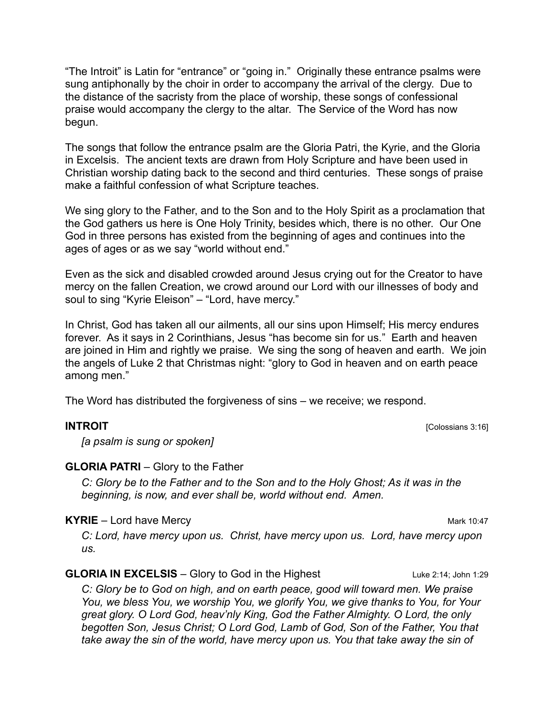"The Introit" is Latin for "entrance" or "going in." Originally these entrance psalms were sung antiphonally by the choir in order to accompany the arrival of the clergy. Due to the distance of the sacristy from the place of worship, these songs of confessional praise would accompany the clergy to the altar. The Service of the Word has now begun.

The songs that follow the entrance psalm are the Gloria Patri, the Kyrie, and the Gloria in Excelsis. The ancient texts are drawn from Holy Scripture and have been used in Christian worship dating back to the second and third centuries. These songs of praise make a faithful confession of what Scripture teaches.

We sing glory to the Father, and to the Son and to the Holy Spirit as a proclamation that the God gathers us here is One Holy Trinity, besides which, there is no other. Our One God in three persons has existed from the beginning of ages and continues into the ages of ages or as we say "world without end."

Even as the sick and disabled crowded around Jesus crying out for the Creator to have mercy on the fallen Creation, we crowd around our Lord with our illnesses of body and soul to sing "Kyrie Eleison" – "Lord, have mercy."

In Christ, God has taken all our ailments, all our sins upon Himself; His mercy endures forever. As it says in 2 Corinthians, Jesus "has become sin for us." Earth and heaven are joined in Him and rightly we praise. We sing the song of heaven and earth. We join the angels of Luke 2 that Christmas night: "glory to God in heaven and on earth peace among men."

The Word has distributed the forgiveness of sins – we receive; we respond.

**INTROIT** [Colossians 3:16]

*[a psalm is sung or spoken]*

#### **GLORIA PATRI** – Glory to the Father

*C: Glory be to the Father and to the Son and to the Holy Ghost; As it was in the beginning, is now, and ever shall be, world without end. Amen.*

#### **KYRIE** – Lord have Mercy Mark 10:47

*C: Lord, have mercy upon us. Christ, have mercy upon us. Lord, have mercy upon us.*

#### **GLORIA IN EXCELSIS** – Glory to God in the Highest Luke 2:14; John 1:29

*C: Glory be to God on high, and on earth peace, good will toward men. We praise You, we bless You, we worship You, we glorify You, we give thanks to You, for Your great glory. O Lord God, heav'nly King, God the Father Almighty. O Lord, the only begotten Son, Jesus Christ; O Lord God, Lamb of God, Son of the Father, You that*  take away the sin of the world, have mercy upon us. You that take away the sin of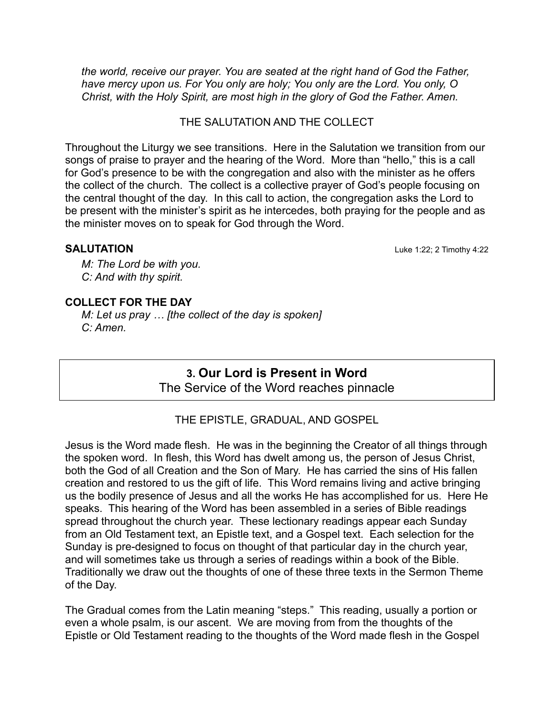*the world, receive our prayer. You are seated at the right hand of God the Father, have mercy upon us. For You only are holy; You only are the Lord. You only, O Christ, with the Holy Spirit, are most high in the glory of God the Father. Amen.* 

THE SALUTATION AND THE COLLECT.

Throughout the Liturgy we see transitions. Here in the Salutation we transition from our songs of praise to prayer and the hearing of the Word. More than "hello," this is a call for God's presence to be with the congregation and also with the minister as he offers the collect of the church. The collect is a collective prayer of God's people focusing on the central thought of the day. In this call to action, the congregation asks the Lord to be present with the minister's spirit as he intercedes, both praying for the people and as the minister moves on to speak for God through the Word.

**SALUTATION** Luke 1:22; 2 Timothy 4:22

*M: The Lord be with you. C: And with thy spirit.*

#### **COLLECT FOR THE DAY**

*M: Let us pray … [the collect of the day is spoken] C: Amen.*

> **3. Our Lord is Present in Word** The Service of the Word reaches pinnacle

THE EPISTLE, GRADUAL, AND GOSPEL

Jesus is the Word made flesh. He was in the beginning the Creator of all things through the spoken word. In flesh, this Word has dwelt among us, the person of Jesus Christ, both the God of all Creation and the Son of Mary. He has carried the sins of His fallen creation and restored to us the gift of life. This Word remains living and active bringing us the bodily presence of Jesus and all the works He has accomplished for us. Here He speaks. This hearing of the Word has been assembled in a series of Bible readings spread throughout the church year. These lectionary readings appear each Sunday from an Old Testament text, an Epistle text, and a Gospel text. Each selection for the Sunday is pre-designed to focus on thought of that particular day in the church year, and will sometimes take us through a series of readings within a book of the Bible. Traditionally we draw out the thoughts of one of these three texts in the Sermon Theme of the Day.

The Gradual comes from the Latin meaning "steps." This reading, usually a portion or even a whole psalm, is our ascent. We are moving from from the thoughts of the Epistle or Old Testament reading to the thoughts of the Word made flesh in the Gospel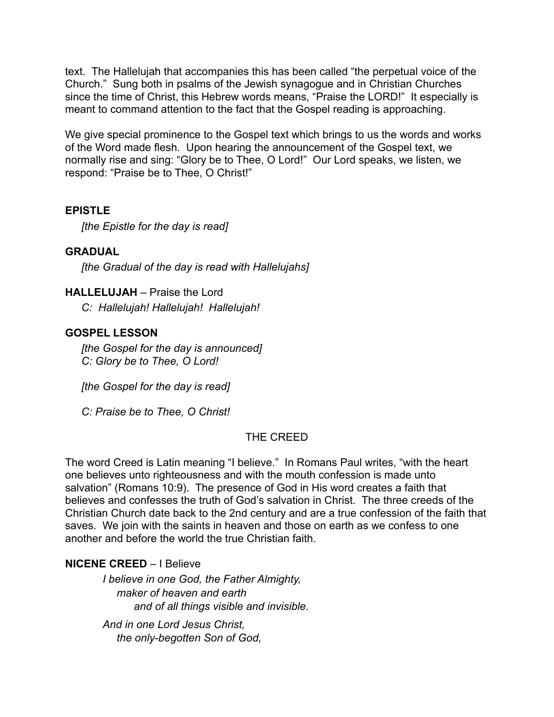text. The Hallelujah that accompanies this has been called "the perpetual voice of the Church." Sung both in psalms of the Jewish synagogue and in Christian Churches since the time of Christ, this Hebrew words means, "Praise the LORD!" It especially is meant to command attention to the fact that the Gospel reading is approaching.

We give special prominence to the Gospel text which brings to us the words and works of the Word made flesh. Upon hearing the announcement of the Gospel text, we normally rise and sing: "Glory be to Thee, O Lord!" Our Lord speaks, we listen, we respond: "Praise be to Thee, O Christ!"

## **EPISTLE**

*[the Epistle for the day is read]*

## **GRADUAL**

*[the Gradual of the day is read with Hallelujahs]*

## **HALLELUJAH** – Praise the Lord

*C: Hallelujah! Hallelujah! Hallelujah!*

## **GOSPEL LESSON**

*[the Gospel for the day is announced] C: Glory be to Thee, O Lord!*

*[the Gospel for the day is read]*

*C: Praise be to Thee, O Christ!*

## THE CREED

The word Creed is Latin meaning "I believe." In Romans Paul writes, "with the heart one believes unto righteousness and with the mouth confession is made unto salvation" (Romans 10:9). The presence of God in His word creates a faith that believes and confesses the truth of God's salvation in Christ. The three creeds of the Christian Church date back to the 2nd century and are a true confession of the faith that saves. We join with the saints in heaven and those on earth as we confess to one another and before the world the true Christian faith.

## **NICENE CREED** – I Believe

*I believe in one God, the Father Almighty, maker of heaven and earth and of all things visible and invisible.* 

*And in one Lord Jesus Christ, the only-begotten Son of God,*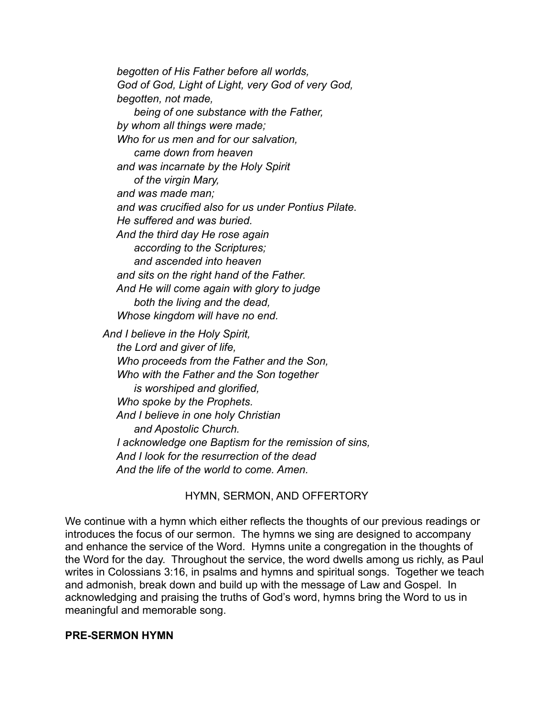*begotten of His Father before all worlds, God of God, Light of Light, very God of very God, begotten, not made, being of one substance with the Father, by whom all things were made; Who for us men and for our salvation, came down from heaven and was incarnate by the Holy Spirit of the virgin Mary, and was made man; and was crucified also for us under Pontius Pilate. He suffered and was buried. And the third day He rose again according to the Scriptures; and ascended into heaven and sits on the right hand of the Father. And He will come again with glory to judge both the living and the dead, Whose kingdom will have no end. And I believe in the Holy Spirit, the Lord and giver of life, Who proceeds from the Father and the Son, Who with the Father and the Son together is worshiped and glorified, Who spoke by the Prophets. And I believe in one holy Christian and Apostolic Church. I acknowledge one Baptism for the remission of sins,* 

 *And I look for the resurrection of the dead And the life of the world to come. Amen.*

#### HYMN, SERMON, AND OFFERTORY

We continue with a hymn which either reflects the thoughts of our previous readings or introduces the focus of our sermon. The hymns we sing are designed to accompany and enhance the service of the Word. Hymns unite a congregation in the thoughts of the Word for the day. Throughout the service, the word dwells among us richly, as Paul writes in Colossians 3:16, in psalms and hymns and spiritual songs. Together we teach and admonish, break down and build up with the message of Law and Gospel. In acknowledging and praising the truths of God's word, hymns bring the Word to us in meaningful and memorable song.

#### **PRE-SERMON HYMN**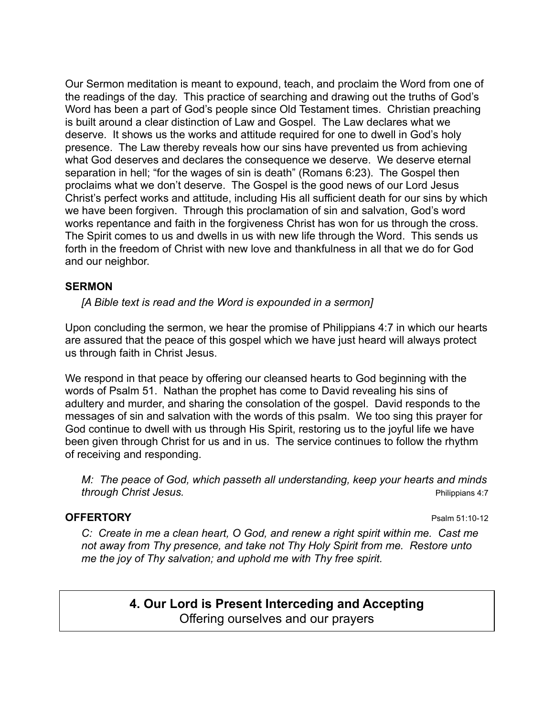Our Sermon meditation is meant to expound, teach, and proclaim the Word from one of the readings of the day. This practice of searching and drawing out the truths of God's Word has been a part of God's people since Old Testament times. Christian preaching is built around a clear distinction of Law and Gospel. The Law declares what we deserve. It shows us the works and attitude required for one to dwell in God's holy presence. The Law thereby reveals how our sins have prevented us from achieving what God deserves and declares the consequence we deserve. We deserve eternal separation in hell; "for the wages of sin is death" (Romans 6:23). The Gospel then proclaims what we don't deserve. The Gospel is the good news of our Lord Jesus Christ's perfect works and attitude, including His all sufficient death for our sins by which we have been forgiven. Through this proclamation of sin and salvation, God's word works repentance and faith in the forgiveness Christ has won for us through the cross. The Spirit comes to us and dwells in us with new life through the Word. This sends us forth in the freedom of Christ with new love and thankfulness in all that we do for God and our neighbor.

#### **SERMON**

*[A Bible text is read and the Word is expounded in a sermon]*

Upon concluding the sermon, we hear the promise of Philippians 4:7 in which our hearts are assured that the peace of this gospel which we have just heard will always protect us through faith in Christ Jesus.

We respond in that peace by offering our cleansed hearts to God beginning with the words of Psalm 51. Nathan the prophet has come to David revealing his sins of adultery and murder, and sharing the consolation of the gospel. David responds to the messages of sin and salvation with the words of this psalm. We too sing this prayer for God continue to dwell with us through His Spirit, restoring us to the joyful life we have been given through Christ for us and in us. The service continues to follow the rhythm of receiving and responding.

*M: The peace of God, which passeth all understanding, keep your hearts and minds*  **through Christ Jesus. Philippians 4:7** 

#### **OFFERTORY** Psalm 51:10-12

*C: Create in me a clean heart, O God, and renew a right spirit within me. Cast me not away from Thy presence, and take not Thy Holy Spirit from me. Restore unto me the joy of Thy salvation; and uphold me with Thy free spirit.*

> **4. Our Lord is Present Interceding and Accepting** Offering ourselves and our prayers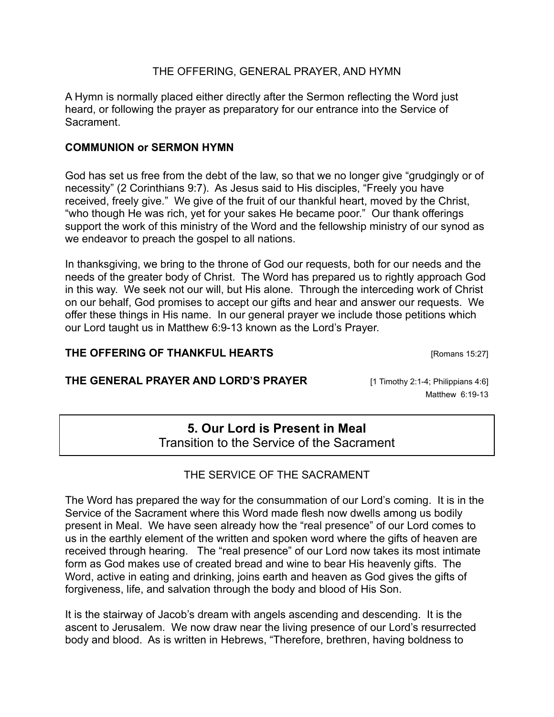### THE OFFERING, GENERAL PRAYER, AND HYMN

A Hymn is normally placed either directly after the Sermon reflecting the Word just heard, or following the prayer as preparatory for our entrance into the Service of **Sacrament** 

### **COMMUNION or SERMON HYMN**

God has set us free from the debt of the law, so that we no longer give "grudgingly or of necessity" (2 Corinthians 9:7). As Jesus said to His disciples, "Freely you have received, freely give." We give of the fruit of our thankful heart, moved by the Christ, "who though He was rich, yet for your sakes He became poor." Our thank offerings support the work of this ministry of the Word and the fellowship ministry of our synod as we endeavor to preach the gospel to all nations.

In thanksgiving, we bring to the throne of God our requests, both for our needs and the needs of the greater body of Christ. The Word has prepared us to rightly approach God in this way. We seek not our will, but His alone. Through the interceding work of Christ on our behalf, God promises to accept our gifts and hear and answer our requests. We offer these things in His name. In our general prayer we include those petitions which our Lord taught us in Matthew 6:9-13 known as the Lord's Prayer.

## **THE OFFERING OF THANKFUL HEARTS** [Romans 15:27]

## **THE GENERAL PRAYER AND LORD'S PRAYER** [1 Timothy 2:1-4; Philippians 4:6]

Matthew 6:19-13

# **5. Our Lord is Present in Meal**

Transition to the Service of the Sacrament

## THE SERVICE OF THE SACRAMENT

The Word has prepared the way for the consummation of our Lord's coming. It is in the Service of the Sacrament where this Word made flesh now dwells among us bodily present in Meal. We have seen already how the "real presence" of our Lord comes to us in the earthly element of the written and spoken word where the gifts of heaven are received through hearing. The "real presence" of our Lord now takes its most intimate form as God makes use of created bread and wine to bear His heavenly gifts. The Word, active in eating and drinking, joins earth and heaven as God gives the gifts of forgiveness, life, and salvation through the body and blood of His Son.

It is the stairway of Jacob's dream with angels ascending and descending. It is the ascent to Jerusalem. We now draw near the living presence of our Lord's resurrected body and blood. As is written in Hebrews, "Therefore, brethren, having boldness to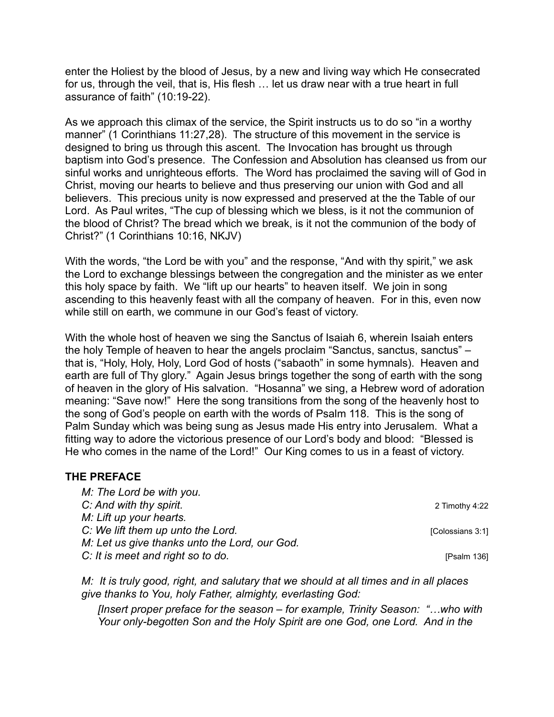enter the Holiest by the blood of Jesus, by a new and living way which He consecrated for us, through the veil, that is, His flesh … let us draw near with a true heart in full assurance of faith" (10:19-22).

As we approach this climax of the service, the Spirit instructs us to do so "in a worthy manner" (1 Corinthians 11:27,28). The structure of this movement in the service is designed to bring us through this ascent. The Invocation has brought us through baptism into God's presence. The Confession and Absolution has cleansed us from our sinful works and unrighteous efforts. The Word has proclaimed the saving will of God in Christ, moving our hearts to believe and thus preserving our union with God and all believers. This precious unity is now expressed and preserved at the the Table of our Lord. As Paul writes, "The cup of blessing which we bless, is it not the communion of the blood of Christ? The bread which we break, is it not the communion of the body of Christ?" (1 Corinthians 10:16, NKJV)

With the words, "the Lord be with you" and the response, "And with thy spirit," we ask the Lord to exchange blessings between the congregation and the minister as we enter this holy space by faith. We "lift up our hearts" to heaven itself. We join in song ascending to this heavenly feast with all the company of heaven. For in this, even now while still on earth, we commune in our God's feast of victory.

With the whole host of heaven we sing the Sanctus of Isaiah 6, wherein Isaiah enters the holy Temple of heaven to hear the angels proclaim "Sanctus, sanctus, sanctus" – that is, "Holy, Holy, Holy, Lord God of hosts ("sabaoth" in some hymnals). Heaven and earth are full of Thy glory." Again Jesus brings together the song of earth with the song of heaven in the glory of His salvation. "Hosanna" we sing, a Hebrew word of adoration meaning: "Save now!" Here the song transitions from the song of the heavenly host to the song of God's people on earth with the words of Psalm 118. This is the song of Palm Sunday which was being sung as Jesus made His entry into Jerusalem. What a fitting way to adore the victorious presence of our Lord's body and blood: "Blessed is He who comes in the name of the Lord!" Our King comes to us in a feast of victory.

#### **THE PREFACE**

| M: The Lord be with you.                      |                  |
|-----------------------------------------------|------------------|
| C: And with thy spirit.                       | 2 Timothy 4:22   |
| M: Lift up your hearts.                       |                  |
| C: We lift them up unto the Lord.             | [Colossians 3:1] |
| M: Let us give thanks unto the Lord, our God. |                  |
| C: It is meet and right so to do.             | [ $Psalm 136$ ]  |

*M: It is truly good, right, and salutary that we should at all times and in all places give thanks to You, holy Father, almighty, everlasting God:* 

*[Insert proper preface for the season – for example, Trinity Season: "…who with Your only-begotten Son and the Holy Spirit are one God, one Lord. And in the*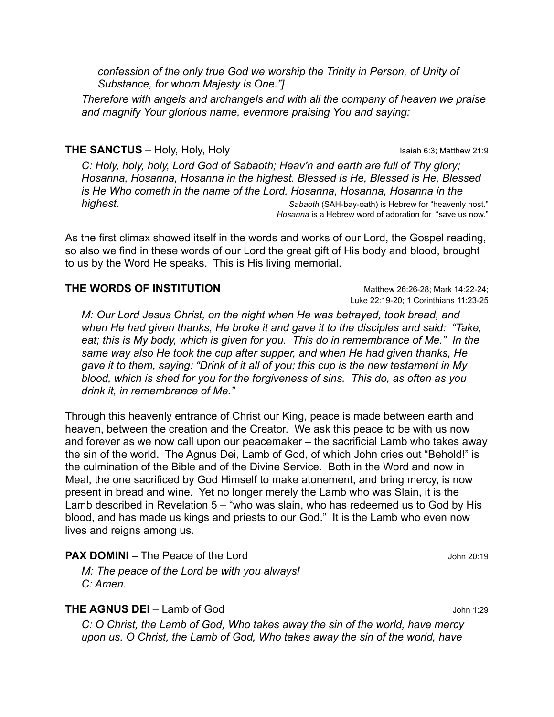*confession of the only true God we worship the Trinity in Person, of Unity of Substance, for whom Majesty is One."]* 

*Therefore with angels and archangels and with all the company of heaven we praise and magnify Your glorious name, evermore praising You and saying:*

#### **THE SANCTUS** – Holy, Holy, Holy **Islamic Community** Isaiah 6:3; Matthew 21:9

*C: Holy, holy, holy, Lord God of Sabaoth; Heav'n and earth are full of Thy glory; Hosanna, Hosanna, Hosanna in the highest. Blessed is He, Blessed is He, Blessed is He Who cometh in the name of the Lord. Hosanna, Hosanna, Hosanna in the highest. Sabaoth* (SAH-bay-oath) is Hebrew for "heavenly host."  *Hosanna* is a Hebrew word of adoration for "save us now."

As the first climax showed itself in the words and works of our Lord, the Gospel reading, so also we find in these words of our Lord the great gift of His body and blood, brought to us by the Word He speaks. This is His living memorial.

#### **THE WORDS OF INSTITUTION** Matthew 26:26-28; Mark 14:22-24;

Luke 22:19-20; 1 Corinthians 11:23-25

*M: Our Lord Jesus Christ, on the night when He was betrayed, took bread, and when He had given thanks, He broke it and gave it to the disciples and said: "Take, eat; this is My body, which is given for you. This do in remembrance of Me." In the same way also He took the cup after supper, and when He had given thanks, He gave it to them, saying: "Drink of it all of you; this cup is the new testament in My blood, which is shed for you for the forgiveness of sins. This do, as often as you drink it, in remembrance of Me."*

Through this heavenly entrance of Christ our King, peace is made between earth and heaven, between the creation and the Creator. We ask this peace to be with us now and forever as we now call upon our peacemaker – the sacrificial Lamb who takes away the sin of the world. The Agnus Dei, Lamb of God, of which John cries out "Behold!" is the culmination of the Bible and of the Divine Service. Both in the Word and now in Meal, the one sacrificed by God Himself to make atonement, and bring mercy, is now present in bread and wine. Yet no longer merely the Lamb who was Slain, it is the Lamb described in Revelation 5 – "who was slain, who has redeemed us to God by His blood, and has made us kings and priests to our God." It is the Lamb who even now lives and reigns among us.

#### **PAX DOMINI** – The Peace of the Lord John 20:19

*M: The peace of the Lord be with you always! C: Amen.*

#### **THE AGNUS DEI** – Lamb of God **John 1:29**

*C: O Christ, the Lamb of God, Who takes away the sin of the world, have mercy upon us. O Christ, the Lamb of God, Who takes away the sin of the world, have*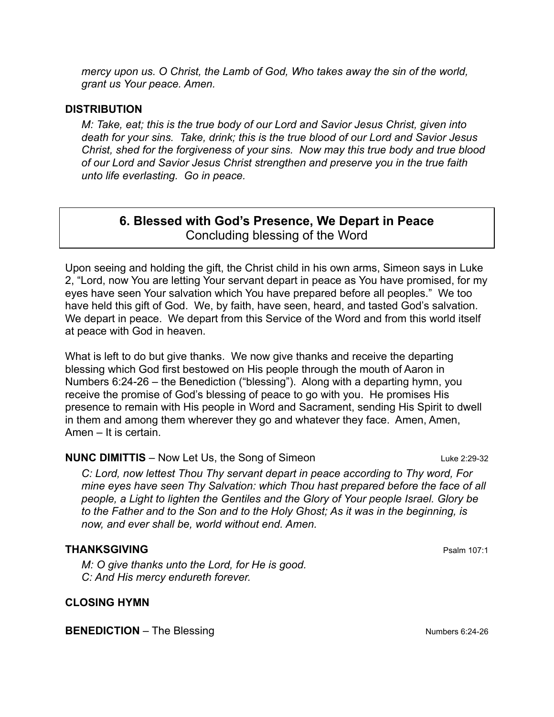*mercy upon us. O Christ, the Lamb of God, Who takes away the sin of the world, grant us Your peace. Amen.*

#### **DISTRIBUTION**

*M: Take, eat; this is the true body of our Lord and Savior Jesus Christ, given into death for your sins. Take, drink; this is the true blood of our Lord and Savior Jesus Christ, shed for the forgiveness of your sins. Now may this true body and true blood of our Lord and Savior Jesus Christ strengthen and preserve you in the true faith unto life everlasting. Go in peace.*

## **6. Blessed with God's Presence, We Depart in Peace** Concluding blessing of the Word

Upon seeing and holding the gift, the Christ child in his own arms, Simeon says in Luke 2, "Lord, now You are letting Your servant depart in peace as You have promised, for my eyes have seen Your salvation which You have prepared before all peoples." We too have held this gift of God. We, by faith, have seen, heard, and tasted God's salvation. We depart in peace. We depart from this Service of the Word and from this world itself at peace with God in heaven.

What is left to do but give thanks. We now give thanks and receive the departing blessing which God first bestowed on His people through the mouth of Aaron in Numbers 6:24-26 – the Benediction ("blessing"). Along with a departing hymn, you receive the promise of God's blessing of peace to go with you. He promises His presence to remain with His people in Word and Sacrament, sending His Spirit to dwell in them and among them wherever they go and whatever they face. Amen, Amen, Amen – It is certain.

#### **NUNC DIMITTIS** – Now Let Us, the Song of Simeon Luke 2:29-32

*C: Lord, now lettest Thou Thy servant depart in peace according to Thy word, For mine eyes have seen Thy Salvation: which Thou hast prepared before the face of all people, a Light to lighten the Gentiles and the Glory of Your people Israel. Glory be to the Father and to the Son and to the Holy Ghost; As it was in the beginning, is now, and ever shall be, world without end. Amen.*

## **THANKSGIVING** Psalm 107:1

*M: O give thanks unto the Lord, for He is good. C: And His mercy endureth forever.*

#### **CLOSING HYMN**

**BENEDICTION** – The Blessing Numbers 6:24-26